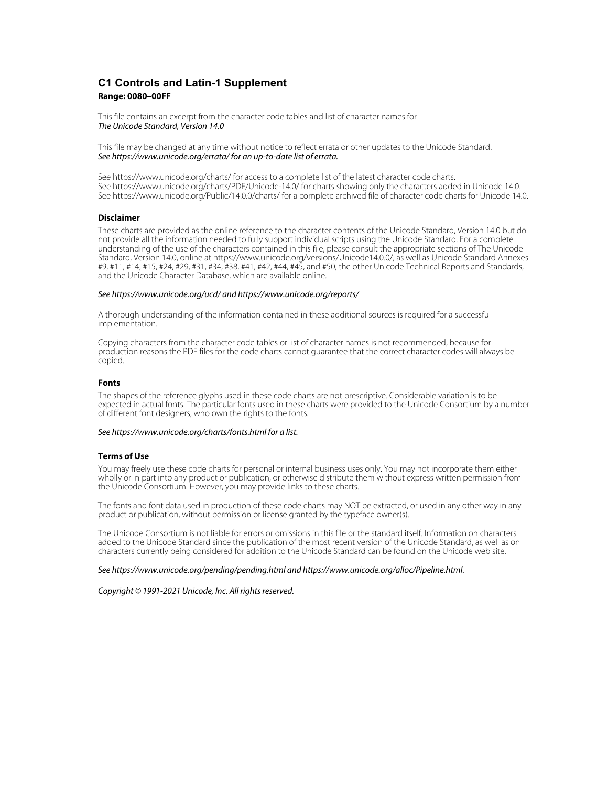## **C1 Controls and Latin-1 Supplement Range: 0080–00FF**

This file contains an excerpt from the character code tables and list of character names for The Unicode Standard, Version 14.0

This file may be changed at any time without notice to reflect errata or other updates to the Unicode Standard. See https://www.unicode.org/errata/ for an up-to-date list of errata.

See https://www.unicode.org/charts/ for access to a complete list of the latest character code charts. See https://www.unicode.org/charts/PDF/Unicode-14.0/ for charts showing only the characters added in Unicode 14.0. See https://www.unicode.org/Public/14.0.0/charts/ for a complete archived file of character code charts for Unicode 14.0.

## **Disclaimer**

These charts are provided as the online reference to the character contents of the Unicode Standard, Version 14.0 but do not provide all the information needed to fully support individual scripts using the Unicode Standard. For a complete understanding of the use of the characters contained in this file, please consult the appropriate sections of The Unicode Standard, Version 14.0, online at https://www.unicode.org/versions/Unicode14.0.0/, as well as Unicode Standard Annexes #9, #11, #14, #15, #24, #29, #31, #34, #38, #41, #42, #44, #45, and #50, the other Unicode Technical Reports and Standards, and the Unicode Character Database, which are available online.

#### See https://www.unicode.org/ucd/ and https://www.unicode.org/reports/

A thorough understanding of the information contained in these additional sources is required for a successful implementation.

Copying characters from the character code tables or list of character names is not recommended, because for production reasons the PDF files for the code charts cannot guarantee that the correct character codes will always be copied.

#### **Fonts**

The shapes of the reference glyphs used in these code charts are not prescriptive. Considerable variation is to be expected in actual fonts. The particular fonts used in these charts were provided to the Unicode Consortium by a number of different font designers, who own the rights to the fonts.

## See https://www.unicode.org/charts/fonts.html for a list.

### **Terms of Use**

You may freely use these code charts for personal or internal business uses only. You may not incorporate them either wholly or in part into any product or publication, or otherwise distribute them without express written permission from the Unicode Consortium. However, you may provide links to these charts.

The fonts and font data used in production of these code charts may NOT be extracted, or used in any other way in any product or publication, without permission or license granted by the typeface owner(s).

The Unicode Consortium is not liable for errors or omissions in this file or the standard itself. Information on characters added to the Unicode Standard since the publication of the most recent version of the Unicode Standard, as well as on characters currently being considered for addition to the Unicode Standard can be found on the Unicode web site.

#### See https://www.unicode.org/pending/pending.html and https://www.unicode.org/alloc/Pipeline.html.

Copyright © 1991-2021 Unicode, Inc. All rights reserved.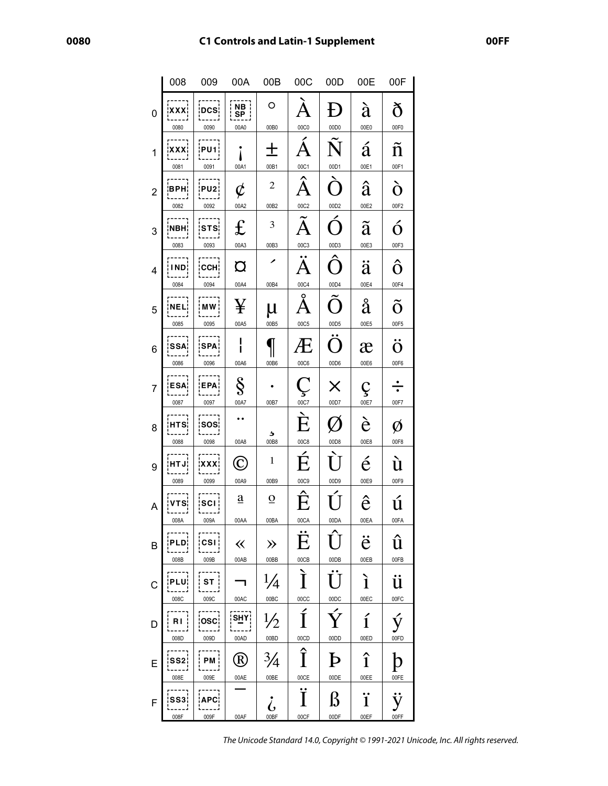# **C1 Controls and Latin-1 Supplement**

|                         | 008                          | 009                            | 00A                                | 00B                        | 00C                        | 00D                  | 00E                        | 00F                           |
|-------------------------|------------------------------|--------------------------------|------------------------------------|----------------------------|----------------------------|----------------------|----------------------------|-------------------------------|
| $\mathbf{0}$            | ¦XXX¦<br>0080                | <b>DCS</b><br>0090             | <b>NB</b><br>SP<br>00A0            | O<br>00B0                  | 00C0                       | 00D0                 | à<br>00E0                  | ð<br>00F0                     |
| 1                       | <b>XXX</b><br>0081           | <b>PU1¦</b><br>0091            | 00A1                               | 00B1                       | 00C1                       | Ñ<br>00D1            | á<br>00E1                  | $\tilde{\rm n}$<br>00F1       |
| $\overline{2}$          | ¦BPH¦<br>0082                | <b>PU2:</b><br>0092            | $\boldsymbol{\phi}$<br>00A2        | 2<br>00B2                  | Â<br>00C2                  | 00D2                 | â<br>00E2                  | ò<br>00F2                     |
| 3                       | ¦NBH¦<br>0083                | <b>STS</b><br>0093             | $\mathbf f$<br>00A3                | 3<br>00B3                  | 00C3                       | 00D3                 | ã<br>00E3                  | ó<br>00F3                     |
| $\overline{\mathbf{4}}$ | IND¦<br>0084                 | <b>CCH!</b><br>0094            | $\mathbf \Omega$<br>00A4           | 00B4                       | $\overline{A}$<br>00C4     | 00D4                 | ä<br>00E4                  | ô<br>00F4                     |
| 5                       | NEL¦<br>0085                 | MW¦<br>0095                    | ¥<br>00A5                          | μ<br>00B5                  | o<br>00C5                  | $\Box$<br>00D5       | å<br>00E5                  | Õ<br>00F5                     |
| 6                       | <b>SSA</b><br>.<br>0086      | <b>SPA</b><br>-----<br>0096    | 00A6                               | 00B6                       | 00C6                       | O<br>00D6            | æ<br>00E6                  | $\ddot{\mathrm{o}}$<br>00F6   |
| 7                       | <b>ESA¦</b><br>.<br>0087     | EPA¦<br>0097                   | Ş<br>00A7                          | 00B7                       | Ç<br>00C7                  | X<br>00D7            | Ç<br>00E7                  | $\frac{\cdot}{\cdot}$<br>00F7 |
| 8                       | HTS <sub>i</sub><br>0088     | <b>SOS</b><br>0098             | 00A8                               | د<br>00B8                  | È<br>00C8                  | 00D8                 | è<br>00E8                  | Ø<br>00F8                     |
| 9                       | HT J!<br>0089                | ¦XXX¦<br>0099                  | 00A9                               | 1<br>00B9                  | É<br>00C9                  | 00D9                 | $\acute{\text{e}}$<br>00E9 | ù<br>00F9                     |
| A                       | ¦VTS¦<br>008A                | ¦scı¦<br>009A                  | $\underline{a}$<br>00AA            | $\overline{o}$<br>00BA     | Ê<br>00CA                  | 00DA                 | ê<br>00EA                  | ú<br>00FA                     |
| B                       | PLD.<br>008B                 | $\overline{\text{cs}}$<br>009B | $\ll$<br>00AB                      | $\gg$<br>00BB              | E<br>00CB                  | 00DB                 | ë<br>00EB                  | û<br>00FB                     |
| C                       | -----<br><b>PLU¦</b><br>008C | ST  <br>009C                   | $\overline{\phantom{0}}$<br>00AC   | $\frac{1}{4}$<br>00BC      | $\mathbf{\hat{I}}$<br>00CC | U<br>00DC            | ì<br>00EC                  | ü<br>00FC                     |
| D                       | RI<br>008D                   | OSC:<br>009D                   | s <u>н</u> Y¦<br>00AD              | $\frac{1}{2}$<br>00BD      | Í<br>00CD                  | Ý<br>00DD            | $\mathbf{1}$<br>00ED       | ý<br>00FD                     |
| E                       | ss2i<br>008E                 | PM :<br>009E                   | $\left( \mathrm{R}\right)$<br>00AE | $\frac{3}{4}$<br>00BE      | Î<br>00CE                  | $\mathbf{P}$<br>00DE | î<br>00EE                  | 00FE                          |
| $\mathsf F$             | SS3<br>008F                  | <b>APC¦</b><br>009F            | 00AF                               | $\dot{\bm{\zeta}}$<br>00BF | Ï<br>00CF                  | ß<br>00DF            | ï<br>00EF                  | ÿ<br>00FF                     |

The Unicode Standard 14.0, Copyright © 1991-2021 Unicode, Inc. All rights reserved.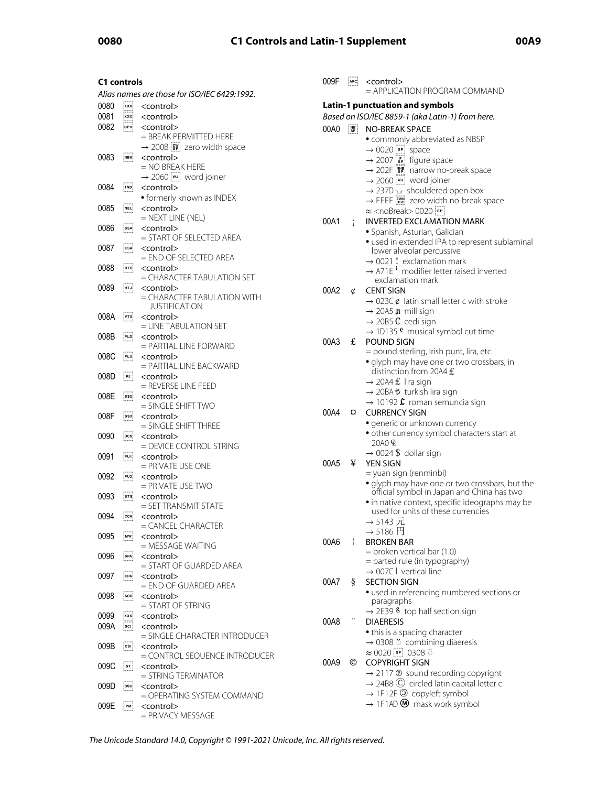# **0080 C1 Controls and Latin-1 Supplement 00A9**

| C1 controls |              |                                                                                            |  |
|-------------|--------------|--------------------------------------------------------------------------------------------|--|
|             |              | Alias names are those for ISO/IEC 6429:1992.                                               |  |
| 0080        | <b>xxx</b>   | <control></control>                                                                        |  |
|             |              |                                                                                            |  |
| 0081        | <u>¦xxx¦</u> | <control></control>                                                                        |  |
| 0082        | врні         | <control></control>                                                                        |  |
|             |              | = BREAK PERMITTED HERE<br>$\rightarrow$ 200B $\left[\frac{2W}{3P}\right]$ zero width space |  |
|             |              |                                                                                            |  |
| 0083        | імвні        | <control></control>                                                                        |  |
|             |              | = NO BREAK HERE                                                                            |  |
|             |              | → 2060 [w] word joiner                                                                     |  |
| 0084        | !IND!        | <control></control>                                                                        |  |
|             |              | • formerly known as INDEX                                                                  |  |
| 0085        | NEL          | <control></control>                                                                        |  |
|             |              | $=$ NEXT LINE (NEL)                                                                        |  |
|             |              |                                                                                            |  |
| 0086        | ssa¦         | <control></control>                                                                        |  |
|             |              | = START OF SELECTED AREA                                                                   |  |
| 0087        | ESA:         | <control></control>                                                                        |  |
|             |              | = END OF SELECTED AREA                                                                     |  |
| 0088        | нтs:         | <control></control>                                                                        |  |
|             |              | = CHARACTER TABULATION SET                                                                 |  |
| 0089        | інт Јі       | <control></control>                                                                        |  |
|             |              |                                                                                            |  |
|             |              | = CHARACTER TABULATION WITH                                                                |  |
|             |              | JUSTIFICATION                                                                              |  |
| 008A        | ivtsi        | <control></control>                                                                        |  |
|             |              | = LINE TABULATION SET                                                                      |  |
| 008B        | PLD          | <control></control>                                                                        |  |
|             |              | $=$ PARTIAL LINE FORWARD                                                                   |  |
| 008C        | PLU          | <control></control>                                                                        |  |
|             |              | = PARTIAL LINE BACKWARD                                                                    |  |
| 008D        | ∫nu ¦        | <control></control>                                                                        |  |
|             |              | = REVERSE LINE FEED                                                                        |  |
| 008E        | ss2¦         | <control></control>                                                                        |  |
|             |              | $=$ SINGLE SHIFT TWO                                                                       |  |
|             |              |                                                                                            |  |
| 008F        | ss3          | <control></control>                                                                        |  |
|             |              | $=$ SINGLE SHIFT THREE                                                                     |  |
| 0090        | pcs          | <control></control>                                                                        |  |
|             |              | = DEVICE CONTROL STRING                                                                    |  |
| 0091        | PU1          | <control></control>                                                                        |  |
|             |              | $=$ PRIVATE USE ONE                                                                        |  |
| 0092        | PU2          | <control></control>                                                                        |  |
|             |              | $=$ PRIVATE USE TWO                                                                        |  |
| 0093        | ¦sтs¦        | <control></control>                                                                        |  |
|             |              | = SET TRANSMIT STATE                                                                       |  |
| 0094        |              |                                                                                            |  |
|             | ссн.         | <control><br/>= CANCEL CHARACTER</control>                                                 |  |
|             |              |                                                                                            |  |
| 0095        | ¦mw¦         | <control></control>                                                                        |  |
|             |              | $=$ MESSAGE WAITING                                                                        |  |
| 0096        | SPA          | <control></control>                                                                        |  |
|             |              | = START OF GUARDED AREA                                                                    |  |
| 0097        | EPA          | <control></control>                                                                        |  |
|             |              | $=$ END OF GUARDED AREA                                                                    |  |
| 0098        | sos:         | <control></control>                                                                        |  |
|             |              | = START OF STRING                                                                          |  |
| 0099        | ¦xxx¦        | <control></control>                                                                        |  |
|             |              |                                                                                            |  |
| 009A        | scı j        | <control></control>                                                                        |  |
|             |              | = SINGI F CHARACTER INTRODUCER                                                             |  |
| 009B        | ¦csı¦        | <control></control>                                                                        |  |
|             |              | = CONTROL SEQUENCE INTRODUCER                                                              |  |
| 009C        | ¦sт¦         | <control></control>                                                                        |  |
|             |              | = STRING TERMINATOR                                                                        |  |
| 009D        | osci         | <control></control>                                                                        |  |
|             |              | = OPERATING SYSTEM COMMAND                                                                 |  |
|             |              |                                                                                            |  |
| 009E        | PM :         | <control></control>                                                                        |  |
|             |              | = PRIVACY MESSAGE                                                                          |  |

| 009F | APC                                                      | <control><br/><math>=</math> APPI ICATION PROGRAM COMMAND</control>                          |
|------|----------------------------------------------------------|----------------------------------------------------------------------------------------------|
|      |                                                          |                                                                                              |
|      |                                                          | Latin-1 punctuation and symbols                                                              |
|      |                                                          | Based on ISO/IEC 8859-1 (aka Latin-1) from here.                                             |
| 00A0 | $\begin{array}{c} \n\text{NB} \\ \text{SP}\n\end{array}$ | <b>NO-BREAK SPACE</b>                                                                        |
|      |                                                          | • commonly abbreviated as NBSP                                                               |
|      |                                                          | $\rightarrow$ 0020 $\boxed{\phantom{0}$ space                                                |
|      |                                                          | $\rightarrow$ 2007 $\begin{bmatrix} F \\ SP \end{bmatrix}$ figure space                      |
|      |                                                          | → 202F [SPECT] narrow no-break space                                                         |
|      |                                                          | $\rightarrow$ 2060 $\boxed{\text{wJ}}$ word joiner                                           |
|      |                                                          | → 237D ~ shouldered open box                                                                 |
|      |                                                          | → FEFF as zero width no-break space                                                          |
|      |                                                          | $\approx$ <nobreak> 0020<math>\sqrt{sp}</math></nobreak>                                     |
| 00A1 | i                                                        | <b>INVERTED EXCLAMATION MARK</b>                                                             |
|      |                                                          | · Spanish, Asturian, Galician                                                                |
|      |                                                          | · used in extended IPA to represent sublaminal                                               |
|      |                                                          | lower alveolar percussive                                                                    |
|      |                                                          | $\rightarrow$ 0021 ! exclamation mark                                                        |
|      |                                                          | $\rightarrow$ A71E <sup>1</sup> modifier letter raised inverted<br>exclamation mark          |
| 00A2 |                                                          | <b>CENT SIGN</b>                                                                             |
|      | ¢                                                        |                                                                                              |
|      |                                                          | $\rightarrow$ 023C $\varphi$ latin small letter c with stroke<br>→ 20A5 m mill sign          |
|      |                                                          | $\rightarrow$ 20B5 $\mathbb C$ cedi sign                                                     |
|      |                                                          | $\rightarrow$ 1D135 $^{\circ}$ musical symbol cut time                                       |
| 00A3 | £                                                        | POUND SIGN                                                                                   |
|      |                                                          | = pound sterling, Irish punt, lira, etc.                                                     |
|      |                                                          | · glyph may have one or two crossbars, in                                                    |
|      |                                                          | distinction from 20A4 £                                                                      |
|      |                                                          | $\rightarrow$ 20A4 £ lira sign                                                               |
|      |                                                          | → 20BA も turkish lira sign                                                                   |
|      |                                                          | $\rightarrow$ 10192 $\hat{\mathcal{L}}$ roman semuncia sign                                  |
| 00A4 | a                                                        | <b>CURRENCY SIGN</b>                                                                         |
|      |                                                          | · generic or unknown currency                                                                |
|      |                                                          | · other currency symbol characters start at                                                  |
|      |                                                          | 20A0 E                                                                                       |
|      |                                                          | $\rightarrow$ 0024 \$ dollar sign                                                            |
| 00A5 | ¥                                                        | <b>YEN SIGN</b>                                                                              |
|      |                                                          | = yuan sign (renminbi)                                                                       |
|      |                                                          |                                                                                              |
|      |                                                          | • glyph may have one or two crossbars, but the<br>official symbol in Japan and China has two |
|      |                                                          | · in native context, specific ideographs may be                                              |
|      |                                                          | used for units of these currencies                                                           |
|      |                                                          | → 5143 兀                                                                                     |
|      |                                                          | $\rightarrow$ 5186 $\boxdot$                                                                 |
| 00A6 | Ŧ                                                        | <b>BROKEN BAR</b>                                                                            |
|      |                                                          | $=$ broken vertical bar (1.0)                                                                |
|      |                                                          | = parted rule (in typography)                                                                |
|      |                                                          | $\rightarrow$ 007C I vertical line                                                           |
| 00A7 | ş                                                        | <b>SECTION SIGN</b>                                                                          |
|      |                                                          | · used in referencing numbered sections or                                                   |
|      |                                                          | paragraphs                                                                                   |
|      |                                                          | $\rightarrow$ 2E39 8 top half section sign                                                   |
| 00A8 |                                                          | <b>DIAERESIS</b>                                                                             |
|      |                                                          | • this is a spacing character                                                                |
|      |                                                          | → 0308 ° combining diaeresis                                                                 |
|      |                                                          | $\approx 0020$ $\boxed{ }$ 9 0308 $\ddot{\circ}$                                             |
| 00A9 | ©                                                        | <b>COPYRIGHT SIGN</b>                                                                        |
|      |                                                          | → 2117 ® sound recording copyright                                                           |
|      |                                                          | $\rightarrow$ 24B8 $\odot$ circled latin capital letter c                                    |
|      |                                                          | → 1F12F <sup>O</sup> copyleft symbol                                                         |
|      |                                                          | $\rightarrow$ 1F1AD $\textcircled{M}$ mask work symbol                                       |
|      |                                                          |                                                                                              |

The Unicode Standard 14.0, Copyright © 1991-2021 Unicode, Inc. All rights reserved.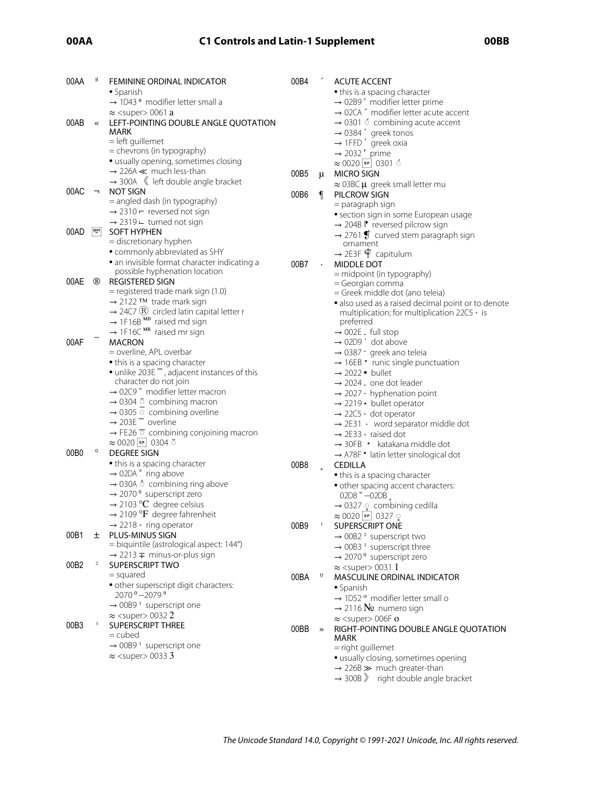# **00AA C1 Controls and Latin-1 Supplement 00BB**

| 00AA             | $\underline{\mathbf{a}}$ | <b>FEMININE ORDINAL INDICATOR</b>                                 | 00B4 |                | <b>ACUTE ACCENT</b>                                      |
|------------------|--------------------------|-------------------------------------------------------------------|------|----------------|----------------------------------------------------------|
|                  |                          | • Spanish                                                         |      |                | • this is a spacing character                            |
|                  |                          | $\rightarrow$ 1D43 <sup>ª</sup> modifier letter small a           |      |                | $\rightarrow$ 02B9 $'$ modifier letter prime             |
|                  |                          | $\approx$ <super> 0061 a</super>                                  |      |                | $\rightarrow$ 02CA $\hat{}$ modifier letter acute accent |
| 00AB             | $\ll$                    | LEFT-POINTING DOUBLE ANGLE QUOTATION                              |      |                | $\rightarrow$ 0301 6 combining acute accent              |
|                  |                          | MARK                                                              |      |                | $\rightarrow$ 0384 $\degree$ greek tonos                 |
|                  |                          | = left guillemet                                                  |      |                | $\rightarrow$ 1FFD $'$ greek oxia                        |
|                  |                          | = chevrons (in typography)                                        |      |                | $\rightarrow$ 2032' prime                                |
|                  |                          | · usually opening, sometimes closing                              |      |                | $\approx 0020$ [sp] 0301 6                               |
|                  |                          | $\rightarrow$ 226A $\ll$ much less-than                           | 00B5 | μ              | <b>MICRO SIGN</b>                                        |
|                  |                          | $\rightarrow$ 300A $\ll$ left double angle bracket                |      |                | $\approx$ 03BC $\mu$ greek small letter mu               |
| 00AC             | -                        | <b>NOT SIGN</b>                                                   | 00B6 | ſ              | PILCROW SIGN                                             |
|                  |                          | = angled dash (in typography)                                     |      |                | = paragraph sign                                         |
|                  |                          | $\rightarrow$ 2310 $-$ reversed not sign                          |      |                | · section sign in some European usage                    |
|                  |                          | $\rightarrow$ 2319 $\leftarrow$ turned not sign                   |      |                | $\rightarrow$ 204B $\mathbb{P}$ reversed pilcrow sign    |
| 00AD             | $\frac{SHY}{2}$          | <b>SOFT HYPHEN</b>                                                |      |                | $\rightarrow$ 2761 $\oint$ curved stem paragraph sign    |
|                  |                          | = discretionary hyphen                                            |      |                | ornament                                                 |
|                  |                          | · commonly abbreviated as SHY                                     |      |                | $\rightarrow$ 2E3F $\oint$ capitulum                     |
|                  |                          | · an invisible format character indicating a                      | 00B7 |                | MIDDLE DOT                                               |
|                  |                          | possible hyphenation location                                     |      |                | = midpoint (in typography)                               |
| 00AE             | ®                        | <b>REGISTERED SIGN</b>                                            |      |                | = Georgian comma                                         |
|                  |                          | = registered trade mark sign (1.0)                                |      |                | = Greek middle dot (ano teleia)                          |
|                  |                          | → 2122 TM trade mark sign                                         |      |                | • also used as a raised decimal point or to denote       |
|                  |                          | $\rightarrow$ 24C7 (R) circled latin capital letter r             |      |                | multiplication; for multiplication $22C5 \cdot is$       |
|                  |                          | $\rightarrow$ 1F16B $^{MD}$ raised md sign                        |      |                | preferred                                                |
|                  |                          | $\rightarrow$ 1F16C <sup>MR</sup> raised mr sign                  |      |                | $\rightarrow$ 002E. full stop                            |
| 00AF             |                          | <b>MACRON</b>                                                     |      |                | $\rightarrow$ 02D9 $\dot{ }$ dot above                   |
|                  |                          | = overline, APL overbar                                           |      |                | $\rightarrow$ 0387 · greek ano teleia                    |
|                  |                          | • this is a spacing character                                     |      |                | $\rightarrow$ 16EB • runic single punctuation            |
|                  |                          | • unlike 203E <sup>-</sup> , adjacent instances of this           |      |                | $\rightarrow$ 2022 • bullet                              |
|                  |                          | character do not join                                             |      |                | $\rightarrow$ 2024 . one dot leader                      |
|                  |                          | $\rightarrow$ 02C9 <sup>-</sup> modifier letter macron            |      |                | $\rightarrow$ 2027 $\cdot$ hyphenation point             |
|                  |                          | $\rightarrow$ 0304 $\bar{0}$ combining macron                     |      |                | $\rightarrow$ 2219 • bullet operator                     |
|                  |                          | $\rightarrow$ 0305 $\circ$ combining overline                     |      |                | $\rightarrow$ 22C5 $\cdot$ dot operator                  |
|                  |                          | $\rightarrow$ 203E $^-$ overline                                  |      |                | $\rightarrow$ 2E31 · word separator middle dot           |
|                  |                          | $\rightarrow$ FE26 $\overline{\circ}$ combining conjoining macron |      |                | $\rightarrow$ 2E33 $\cdot$ raised dot                    |
|                  |                          | $\approx 0020$ sp 0304 0                                          |      |                | $\rightarrow$ 30FB • katakana middle dot                 |
| 00B <sub>0</sub> | $\circ$                  | <b>DEGREE SIGN</b>                                                |      |                | → A78F • latin letter sinological dot                    |
|                  |                          | • this is a spacing character                                     | 00B8 |                | <b>CEDILLA</b>                                           |
|                  |                          | $\rightarrow$ 02DA $\degree$ ring above                           |      |                |                                                          |
|                  |                          | $\rightarrow$ 030A $\circ$ combining ring above                   |      |                | • this is a spacing character                            |
|                  |                          | $\rightarrow$ 2070 <sup>°</sup> superscript zero                  |      |                | · other spacing accent characters:<br>$02D8 - 02D8$      |
|                  |                          | $\rightarrow$ 2103 °C degree celsius                              |      |                |                                                          |
|                  |                          | $\rightarrow$ 2109 °F degree fahrenheit                           |      |                | $\rightarrow$ 0327 $\circ$ combining cedilla             |
|                  |                          | $\rightarrow$ 2218 • ring operator                                | 00B9 | $\mathbf{1}$   | $\approx 0020$ [sr] 0327 $\circ$                         |
| 00B1             | ±.                       | PLUS-MINUS SIGN                                                   |      |                | SUPERSCRIPT ONE                                          |
|                  |                          | = biquintile (astrological aspect: 144°)                          |      |                | $\rightarrow$ 00B2 <sup>2</sup> superscript two          |
|                  |                          | $\rightarrow$ 2213 $\mp$ minus-or-plus sign                       |      |                | $\rightarrow$ 00B3 <sup>3</sup> superscript three        |
| 00B2             | $\mathbf 2$              | SUPERSCRIPT TWO                                                   |      |                | $\rightarrow$ 2070 <sup>°</sup> superscript zero         |
|                  |                          | $=$ squared                                                       |      | $\overline{o}$ | $\approx$ <super> 0031 1</super>                         |
|                  |                          | · other superscript digit characters:                             | 00BA |                | <b>MASCULINE ORDINAL INDICATOR</b>                       |
|                  |                          | 2070 <sup>0</sup> -2079 <sup>9</sup>                              |      |                | • Spanish                                                |
|                  |                          | $\rightarrow$ 00B9 <sup>1</sup> superscript one                   |      |                | $\rightarrow$ 1D52 $^{\circ}$ modifier letter small o    |
|                  |                          | $\approx$ <super> 00322</super>                                   |      |                | $\rightarrow$ 2116 $N_2$ numero sign                     |
| 00B3             | 3                        | SUPERSCRIPT THREE                                                 |      |                | $\approx$ <super> 006F o</super>                         |
|                  |                          | $=$ cubed                                                         | 00BB | $\rightarrow$  | RIGHT-POINTING DOUBLE ANGLE QUOTATION                    |
|                  |                          | $\rightarrow$ 00B9 <sup>1</sup> superscript one                   |      |                | MARK                                                     |
|                  |                          | $\approx$ <super> 0033 3</super>                                  |      |                | = right guillemet                                        |
|                  |                          |                                                                   |      |                | · usually closing, sometimes opening                     |
|                  |                          |                                                                   |      |                | $\rightarrow$ 226B $\gg$ much greater-than               |
|                  |                          |                                                                   |      |                | $\rightarrow$ 300B $\gg$ right double angle bracket      |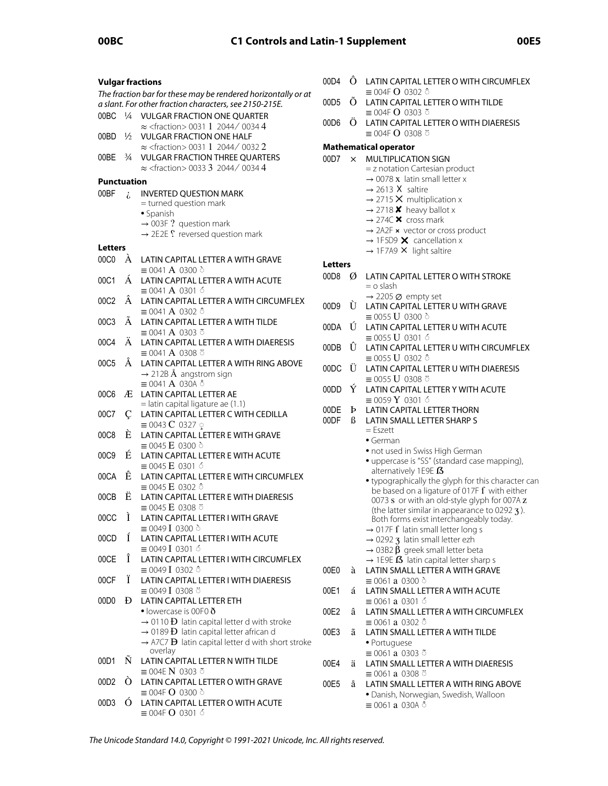| 0<br><b>Vulgar fractions</b>                                  |               |                                                                                        |        |  |  |  |
|---------------------------------------------------------------|---------------|----------------------------------------------------------------------------------------|--------|--|--|--|
| The fraction bar for these may be rendered horizontally or at |               |                                                                                        |        |  |  |  |
|                                                               |               | a slant. For other fraction characters, see 2150-215E.                                 | 0      |  |  |  |
| 00BC                                                          | $\frac{1}{4}$ | <b>VULGAR FRACTION ONE QUARTER</b>                                                     | 0      |  |  |  |
| 00BD                                                          | $\frac{1}{2}$ | $\approx$ <fraction> 0031 1 2044/ 0034 4</fraction>                                    |        |  |  |  |
|                                                               |               | <b>VULGAR FRACTION ONE HALF</b><br>$\approx$ <fraction> 0031 1 2044/ 0032 2</fraction> | N      |  |  |  |
| 00BE                                                          | $\frac{3}{4}$ | <b>VULGAR FRACTION THREE QUARTERS</b>                                                  | 0      |  |  |  |
|                                                               |               | $\approx$ <fraction> 0033 3 2044/ 0034 4</fraction>                                    |        |  |  |  |
| <b>Punctuation</b>                                            |               |                                                                                        |        |  |  |  |
| 00BF                                                          | i.            | <b>INVERTED QUESTION MARK</b>                                                          |        |  |  |  |
|                                                               |               | = turned question mark                                                                 |        |  |  |  |
|                                                               |               | • Spanish                                                                              |        |  |  |  |
|                                                               |               | $\rightarrow$ 003F ? question mark<br>→ 2E2E ? reversed question mark                  |        |  |  |  |
|                                                               |               |                                                                                        |        |  |  |  |
| <b>Letters</b><br>00C0                                        | À             | LATIN CAPITAL LETTER A WITH GRAVE                                                      |        |  |  |  |
|                                                               |               | $\equiv$ 0041 A 0300 $\circ$                                                           | L      |  |  |  |
| 00C1                                                          | Á             | LATIN CAPITAL LETTER A WITH ACUTE                                                      | 0      |  |  |  |
|                                                               |               | $\equiv$ 0041 A 0301 6                                                                 |        |  |  |  |
| 00C2                                                          | Â             | LATIN CAPITAL LETTER A WITH CIRCUMFLEX                                                 | 0      |  |  |  |
| 00C3                                                          | Ã             | $\equiv$ 0041 A 0302 $\hat{\circ}$<br><b>LATIN CAPITAL LETTER A WITH TILDE</b>         |        |  |  |  |
|                                                               |               | $\equiv$ 0041 A 0303 $\tilde{\circ}$                                                   | 0      |  |  |  |
| 00C4                                                          | Ä             | LATIN CAPITAL LETTER A WITH DIAERESIS                                                  |        |  |  |  |
|                                                               |               | $\equiv$ 0041 A 0308 ö                                                                 | 0      |  |  |  |
| 00C5                                                          | Å             | LATIN CAPITAL LETTER A WITH RING ABOVE                                                 | 0      |  |  |  |
|                                                               |               | $\rightarrow$ 212B Å angstrom sign<br>$\equiv$ 0041 A 030A Å                           |        |  |  |  |
| 00C6                                                          | Æ             | <b>LATIN CAPITAL LETTER AE</b>                                                         | 0      |  |  |  |
|                                                               |               | = latin capital ligature ae (1.1)                                                      |        |  |  |  |
| 00C7                                                          | Ç             | LATIN CAPITAL LETTER C WITH CEDILLA                                                    | 0<br>0 |  |  |  |
| 00C8                                                          | È             | $\equiv$ 0043 <b>C</b> 0327 $\circ$<br>LATIN CAPITAL LETTER E WITH GRAVE               |        |  |  |  |
|                                                               |               | $\equiv$ 0045 <b>E</b> 0300 $\circ$                                                    |        |  |  |  |
| 00C9                                                          | É             | LATIN CAPITAL LETTER E WITH ACUTE                                                      |        |  |  |  |
|                                                               |               | $\equiv$ 0045 <b>E</b> 0301 6                                                          |        |  |  |  |
| 00CA                                                          | Ê             | LATIN CAPITAL LETTER E WITH CIRCUMFLEX                                                 |        |  |  |  |
| 00CB                                                          | Ë             | $\equiv$ 0045 <b>E</b> 0302 $\hat{\circ}$<br>LATIN CAPITAL LETTER E WITH DIAERESIS     |        |  |  |  |
|                                                               |               | $\equiv$ 0045 <b>E</b> 0308 $\ddot{\circ}$                                             |        |  |  |  |
| 00CC                                                          | Ì             | LATIN CAPITAL LETTER I WITH GRAVE                                                      |        |  |  |  |
|                                                               |               | $\equiv$ 0049 I 0300 $\geq$                                                            |        |  |  |  |
| 00CD                                                          | Í             | LATIN CAPITAL LETTER I WITH ACUTE                                                      |        |  |  |  |
| 00CE                                                          | Î             | $\equiv$ 0049 I 0301 6<br>LATIN CAPITAL LETTER I WITH CIRCUMFLEX                       |        |  |  |  |
|                                                               |               | $\equiv$ 0049 I 0302 Ô                                                                 | 0      |  |  |  |
| 00CF                                                          | Ϊ             | LATIN CAPITAL LETTER I WITH DIAERESIS                                                  |        |  |  |  |
|                                                               |               | $\equiv$ 0049 I 0308 $\ddot{\circ}$                                                    | 0      |  |  |  |
| 00D0                                                          | Ð             | <b>LATIN CAPITAL LETTER ETH</b><br>$\bullet$ lowercase is 00F0 $\delta$                |        |  |  |  |
|                                                               |               | $\rightarrow$ 0110 <b>Đ</b> latin capital letter d with stroke                         | 0      |  |  |  |
|                                                               |               | $\rightarrow$ 0189 <b>Đ</b> latin capital letter african d                             | 0      |  |  |  |
|                                                               |               | $\rightarrow$ A7C7 <b>D</b> latin capital letter d with short stroke                   |        |  |  |  |
| 00D1                                                          | Ñ             | overlay<br>LATIN CAPITAL LETTER N WITH TILDE                                           |        |  |  |  |
|                                                               |               | $\equiv$ 004E N 0303 $\tilde{\circ}$                                                   | 0      |  |  |  |
| 00D <sub>2</sub>                                              | Ò             | LATIN CAPITAL LETTER O WITH GRAVE                                                      | 0      |  |  |  |
|                                                               |               | $\equiv$ 004F <b>O</b> 0300 $\circ$                                                    |        |  |  |  |
| 00D3                                                          | Ó             | LATIN CAPITAL LETTER O WITH ACUTE                                                      |        |  |  |  |

- 0D4 Ô LATIN CAPITAL LETTER O WITH CIRCUMFLEX  $\equiv$  004F **O** 0302  $\hat{\circ}$
- )0D5 Õ LATIN CAPITAL LETTER O WITH TILDE  $\equiv$  004F **O** 0303  $\tilde{\circ}$
- 00D6 Ö LATIN CAPITAL LETTER O WITH DIAERESIS  $\equiv$  004F **O** 0308  $\ddot{\circ}$

## Mathematical operator

- **OD7 X MULTIPLICATION SIGN** 
	- = z notation Cartesian product
	- $\rightarrow$  0078 x latin small letter x
	- $\rightarrow$  2613 X saltire
	- $\rightarrow$  2715 X multiplication x
	- $\rightarrow$  2718 **X** heavy ballot x
	- $\rightarrow$  274C  $\times$  cross mark
	- $\rightarrow$  2A2F  $\times$  vector or cross product
	- $\rightarrow$  1F5D9  $\times$  cancellation x
	- $\rightarrow$  1F7A9 X light saltire

## etters.

- $00D8$   $\emptyset$  LATIN CAPITAL LETTER O WITH STROKE  $=$  o slash  $\rightarrow$  2205 Ø empty set
- Ù LATIN CAPITAL LETTER U WITH GRAVE 0D9  $\equiv$  0055 U 0300  $\delta$
- )ODA Ú LATIN CAPITAL LETTER U WITH ACUTE  $\equiv$  0055 **U** 0301 6
- )ODB Û LATIN CAPITAL LETTER U WITH CIRCUMFLEX  $\equiv$  0055 U 0302  $\hat{\circ}$
- )ODC Ü LATIN CAPITAL LETTER U WITH DIAERESIS  $\equiv$  0055 U 0308 ö
- ODD Ý LATIN CAPITAL LETTER Y WITH ACUTE  $\equiv$  0059 Y 0301 6
- ODE **b** LATIN CAPITAL LETTER THORN
- ODF **B** LATIN SMALL LETTER SHARP S
	- $=$  Eszett
	- $\bullet$  German
	- not used in Swiss High German
	- uppercase is "SS" (standard case mapping), alternatively 1E9E  $\boldsymbol{\beta}$
	- typographically the glyph for this character can be based on a ligature of 017F  $f$  with either 0073 s or with an old-style glyph for 007A z (the latter similar in appearance to 0292 $\mathbf{3}$ ). Both forms exist interchangeably today.
	- $\rightarrow$  017F  $\bf f$  latin small letter long s
	- $\rightarrow$  0292 3 latin small letter ezh
	- $\rightarrow$  03B2  $\beta$  greek small letter beta
	- $\rightarrow$  1E9E  $\beta$  latin capital letter sharp s à LATIN SMALL LETTER A WITH GRAVE
- 0E0  $\equiv$  0061 a 0300  $\circ$
- á LATIN SMALL LETTER A WITH ACUTE 0E1  $\equiv$  0061 a 0301 6
- 0E2 â LATIN SMALL LETTER A WITH CIRCUMFLEX  $\equiv$  0061 a 0302  $\hat{\circ}$
- 00E3 ã LATIN SMALL LETTER A WITH TILDE · Portuguese  $\equiv$  0061 a 0303  $\tilde{\circ}$
- ä LATIN SMALL LETTER A WITH DIAERESIS )NF4  $\equiv 0061$  a 0308  $\ddot{\circ}$
- 0F5 å LATIN SMALL LETTER A WITH RING ABOVE · Danish, Norwegian, Swedish, Walloon  $\equiv$  0061 a 030A Å

 $\equiv$  004F **O** 0301 6